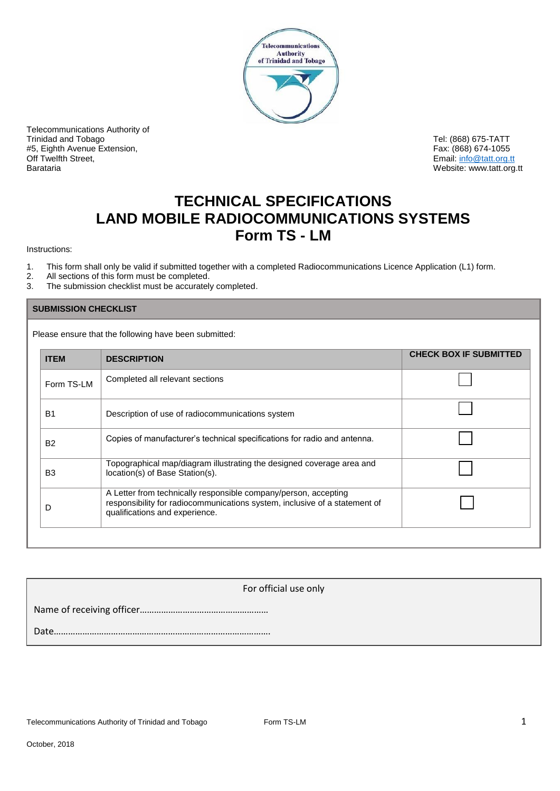

Telecommunications Authority of Trinidad and Tobago Tel: (868) 675-TATT (868) 675-TATT (868) 675-TATT (868) 675-TATT (868) 675-TATT (868) 674-<br>The Society of Telescope of the Superior of Telescope of Telescope of Telescope of Telescope of Telescope of T<br> #5, Eighth Avenue Extension,<br>Off Twelfth Street. Barataria Website: www.tatt.org.tt

Email: info@tatt.org.tt

# **TECHNICAL SPECIFICATIONS LAND MOBILE RADIOCOMMUNICATIONS SYSTEMS Form TS - LM**

Instructions:

- 1. This form shall only be valid if submitted together with a completed Radiocommunications Licence Application (L1) form.
- 2. All sections of this form must be completed.<br>3. The submission checklist must be accurately
- The submission checklist must be accurately completed.

#### **SUBMISSION CHECKLIST**

Please ensure that the following have been submitted:

| <b>ITEM</b>    | <b>DESCRIPTION</b>                                                                                                                                                              | <b>CHECK BOX IF SUBMITTED</b> |
|----------------|---------------------------------------------------------------------------------------------------------------------------------------------------------------------------------|-------------------------------|
| Form TS-LM     | Completed all relevant sections                                                                                                                                                 |                               |
| <b>B1</b>      | Description of use of radiocommunications system                                                                                                                                |                               |
| <b>B2</b>      | Copies of manufacturer's technical specifications for radio and antenna.                                                                                                        |                               |
| B <sub>3</sub> | Topographical map/diagram illustrating the designed coverage area and<br>location(s) of Base Station(s).                                                                        |                               |
| D              | A Letter from technically responsible company/person, accepting<br>responsibility for radiocommunications system, inclusive of a statement of<br>qualifications and experience. |                               |

For official use only Name of receiving officer……………………………………………… Date……………………………………………………………………………….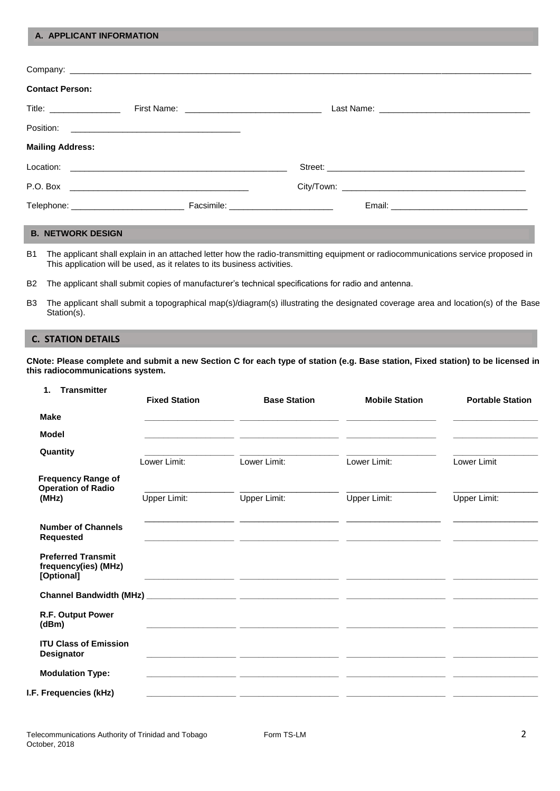#### **A. APPLICANT INFORMATION**

| <b>Contact Person:</b>                   |  |  |
|------------------------------------------|--|--|
| Title: _________________                 |  |  |
|                                          |  |  |
| <b>Mailing Address:</b>                  |  |  |
|                                          |  |  |
|                                          |  |  |
| Telephone: _____________________________ |  |  |

# **B. NETWORK DESIGN**

B1 The applicant shall explain in an attached letter how the radio-transmitting equipment or radiocommunications service proposed in This application will be used, as it relates to its business activities.

B2 The applicant shall submit copies of manufacturer's technical specifications for radio and antenna.

B3 The applicant shall submit a topographical map(s)/diagram(s) illustrating the designated coverage area and location(s) of the Base Station(s).

# **C. STATION DETAILS**

**CNote: Please complete and submit a new Section C for each type of station (e.g. Base station, Fixed station) to be licensed in this radiocommunications system.**

| <b>Transmitter</b><br>1.                                        | <b>Fixed Station</b> | <b>Base Station</b>                                          | <b>Mobile Station</b> | <b>Portable Station</b>                  |
|-----------------------------------------------------------------|----------------------|--------------------------------------------------------------|-----------------------|------------------------------------------|
| <b>Make</b>                                                     |                      |                                                              |                       |                                          |
| Model                                                           |                      | <u> 1999 - Jan James James, francuski politik (f. 1989)</u>  |                       |                                          |
| Quantity                                                        | Lower Limit:         | Lower Limit:                                                 | Lower Limit:          | Lower Limit                              |
| <b>Frequency Range of</b><br><b>Operation of Radio</b>          |                      |                                                              |                       |                                          |
| (MHz)                                                           | Upper Limit:         | Upper Limit:                                                 | Upper Limit:          | Upper Limit:                             |
| <b>Number of Channels</b><br><b>Requested</b>                   |                      |                                                              |                       | <u> 1980 - Jan Barbara Barat, manala</u> |
| <b>Preferred Transmit</b><br>frequency(ies) (MHz)<br>[Optional] |                      |                                                              |                       |                                          |
|                                                                 |                      |                                                              |                       |                                          |
| R.F. Output Power<br>(dBm)                                      |                      |                                                              |                       |                                          |
| <b>ITU Class of Emission</b><br><b>Designator</b>               |                      |                                                              |                       |                                          |
| <b>Modulation Type:</b>                                         |                      | <u> 1999 - Jan James James, amerikansk politik (f. 1989)</u> |                       |                                          |
| I.F. Frequencies (kHz)                                          |                      | <u> 1999 - Jan James James, amerikan bernama (h. 1989).</u>  |                       |                                          |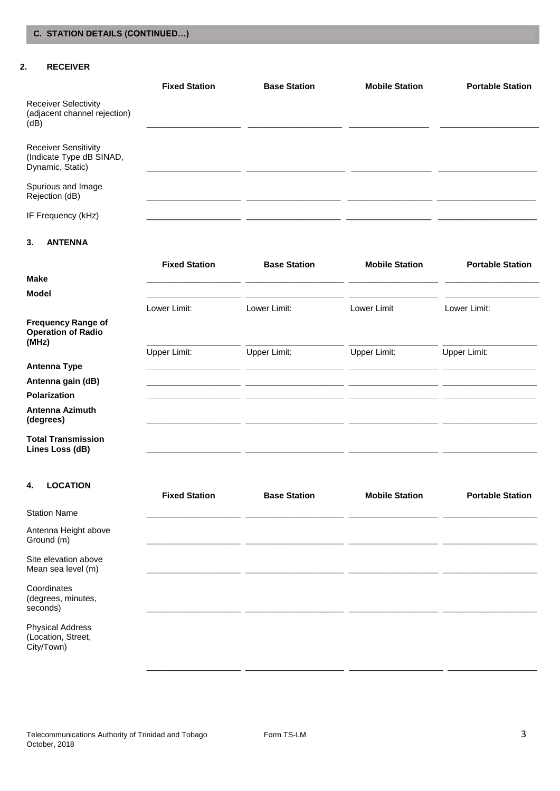# **2. RECEIVER**

|                                                                             | <b>Fixed Station</b> | <b>Base Station</b> | <b>Mobile Station</b> | <b>Portable Station</b> |
|-----------------------------------------------------------------------------|----------------------|---------------------|-----------------------|-------------------------|
| <b>Receiver Selectivity</b><br>(adjacent channel rejection)<br>(dB)         |                      |                     |                       |                         |
|                                                                             |                      |                     |                       |                         |
| <b>Receiver Sensitivity</b><br>(Indicate Type dB SINAD,<br>Dynamic, Static) |                      |                     |                       |                         |
| Spurious and Image<br>Rejection (dB)                                        |                      |                     |                       |                         |
| IF Frequency (kHz)                                                          |                      |                     |                       |                         |

# **3. ANTENNA**

|                                                                 | <b>Fixed Station</b> | <b>Base Station</b> | <b>Mobile Station</b> | <b>Portable Station</b> |
|-----------------------------------------------------------------|----------------------|---------------------|-----------------------|-------------------------|
| <b>Make</b>                                                     |                      |                     |                       |                         |
| Model                                                           |                      |                     |                       |                         |
|                                                                 | Lower Limit:         | Lower Limit:        | Lower Limit           | Lower Limit:            |
| <b>Frequency Range of</b><br><b>Operation of Radio</b><br>(MHz) |                      |                     |                       |                         |
|                                                                 | Upper Limit:         | Upper Limit:        | <b>Upper Limit:</b>   | Upper Limit:            |
| <b>Antenna Type</b>                                             |                      |                     |                       |                         |
| Antenna gain (dB)                                               |                      |                     |                       |                         |
| <b>Polarization</b>                                             |                      |                     |                       |                         |
| <b>Antenna Azimuth</b><br>(degrees)                             |                      |                     |                       |                         |
| <b>Total Transmission</b><br>Lines Loss (dB)                    |                      |                     |                       |                         |

## **4. LOCATION**

|                                                             | <b>Fixed Station</b> | <b>Base Station</b> | <b>Mobile Station</b> | <b>Portable Station</b> |
|-------------------------------------------------------------|----------------------|---------------------|-----------------------|-------------------------|
| <b>Station Name</b>                                         |                      |                     |                       |                         |
| Antenna Height above<br>Ground (m)                          |                      |                     |                       |                         |
| Site elevation above<br>Mean sea level (m)                  |                      |                     |                       |                         |
| Coordinates<br>(degrees, minutes,<br>seconds)               |                      |                     |                       |                         |
| <b>Physical Address</b><br>(Location, Street,<br>City/Town) |                      |                     |                       |                         |

\_\_\_\_\_\_\_\_\_\_\_\_\_\_\_\_\_\_\_\_ \_\_\_\_\_\_\_\_\_\_\_\_\_\_\_\_\_\_\_\_\_ \_\_\_\_\_\_\_\_\_\_\_\_\_\_\_\_\_\_\_\_ \_\_\_\_\_\_\_\_\_\_\_\_\_\_\_\_\_\_\_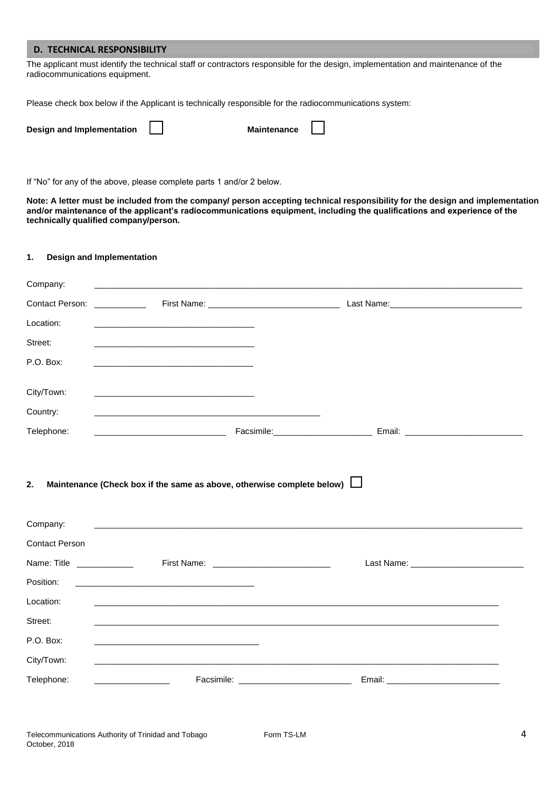## **D. TECHNICAL RESPONSIBILITY**

The applicant must identify the technical staff or contractors responsible for the design, implementation and maintenance of the radiocommunications equipment.

Please check box below if the Applicant is technically responsible for the radiocommunications system:

| Design and Implementation |  | <b>Maintenance</b> |
|---------------------------|--|--------------------|
|---------------------------|--|--------------------|

If "No" for any of the above, please complete parts 1 and/or 2 below.

**Note: A letter must be included from the company/ person accepting technical responsibility for the design and implementation and/or maintenance of the applicant's radiocommunications equipment, including the qualifications and experience of the technically qualified company/person.**

#### **1. Design and Implementation**

| Company:                              | <u> 1980 - Johann Barn, fransk politik (f. 1980)</u>                                                                   |                                                                                                                                                                      |  |
|---------------------------------------|------------------------------------------------------------------------------------------------------------------------|----------------------------------------------------------------------------------------------------------------------------------------------------------------------|--|
| <b>Contact Person:</b>                | <u> The Communication</u>                                                                                              |                                                                                                                                                                      |  |
| Location:                             | <u> 1980 - An Dùbhlachd an Dùbhlachd ann an Dùbhlachd ann an Dùbhlachd ann an Dùbhlachd ann an Dùbhlachd ann an Dù</u> |                                                                                                                                                                      |  |
| Street:                               |                                                                                                                        |                                                                                                                                                                      |  |
| P.O. Box:                             |                                                                                                                        |                                                                                                                                                                      |  |
| City/Town:                            |                                                                                                                        |                                                                                                                                                                      |  |
| Country:                              |                                                                                                                        |                                                                                                                                                                      |  |
| Telephone:                            |                                                                                                                        |                                                                                                                                                                      |  |
| 2.                                    | Maintenance (Check box if the same as above, otherwise complete below) $\Box$                                          |                                                                                                                                                                      |  |
|                                       |                                                                                                                        |                                                                                                                                                                      |  |
| Company:                              | <u> 1989 - Jan Sterlinger, skriuwer fan de Fryske keamste keamste fan de Fryske keamste keamste fan de Fryske kea</u>  |                                                                                                                                                                      |  |
| <b>Contact Person</b>                 |                                                                                                                        |                                                                                                                                                                      |  |
| Name: Title <b>Name</b> Name of Title |                                                                                                                        |                                                                                                                                                                      |  |
| Position:                             | <u> 1990 - Johann John Stein, markin fan it ferstjer fan de ferstjer fan it ferstjer fan it ferstjer fan it fers</u>   |                                                                                                                                                                      |  |
| Location:                             |                                                                                                                        | ,我们也不能会在这里,我们的人们也不能会在这里,我们也不能会在这里,我们也不能会在这里,我们也不能会在这里,我们也不能会在这里,我们也不能会不能会不能会。""我<br>第115章 我们的人们,我们的人们的人们,我们的人们的人们,我们的人们的人们,我们的人们的人们,我们的人们的人们,我们的人们的人们,我们的人们的人们,我们的人们 |  |
| Street:                               |                                                                                                                        |                                                                                                                                                                      |  |
| P.O. Box:                             | <u> 1989 - Johann John Harry, mars and deutscher Amerikaanse komme</u>                                                 |                                                                                                                                                                      |  |
| City/Town:                            |                                                                                                                        | <u> 1989 - Johann Stoff, deutscher Stoff, der Stoff, der Stoff, der Stoff, der Stoff, der Stoff, der Stoff, der S</u>                                                |  |